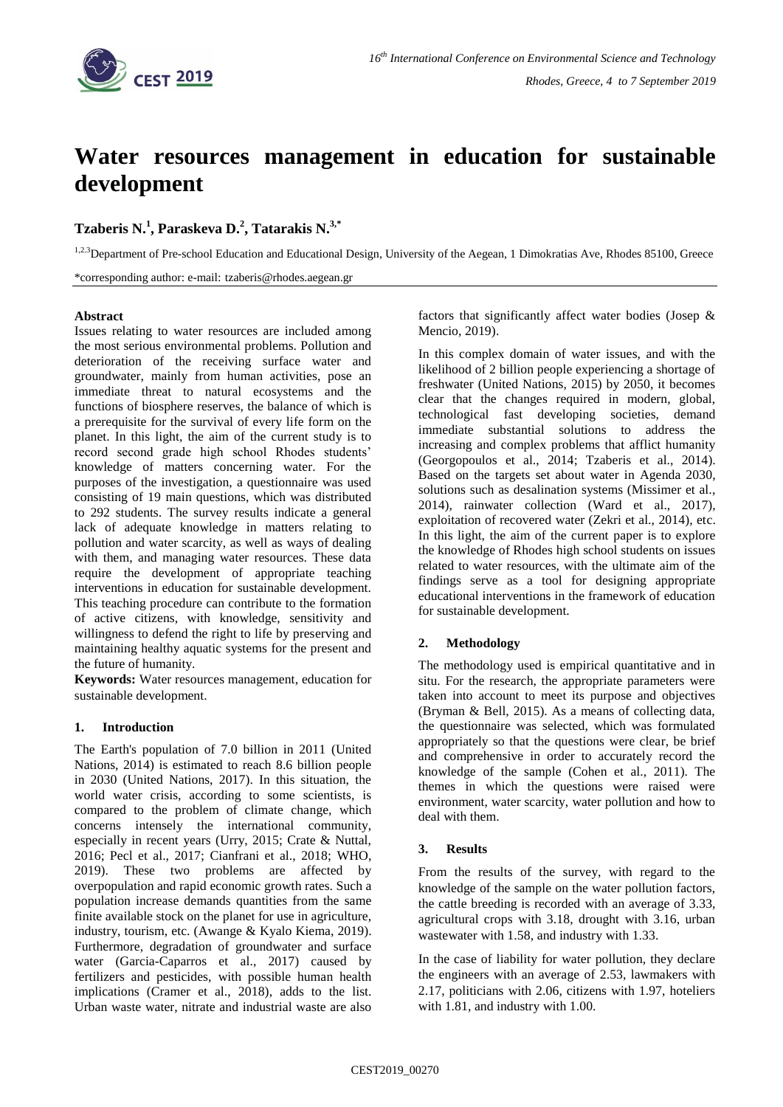

# **Water resources management in education for sustainable development**

## **Tzaberis N.<sup>1</sup> , Paraskeva D.<sup>2</sup> , Tatarakis N.3,\***

<sup>1,2.3</sup>Department of Pre-school Education and Educational Design, University of the Aegean, 1 Dimokratias Ave, Rhodes 85100, Greece

\*corresponding author: e-mail: tzaberis@rhodes.aegean.gr

## **Abstract**

Issues relating to water resources are included among the most serious environmental problems. Pollution and deterioration of the receiving surface water and groundwater, mainly from human activities, pose an immediate threat to natural ecosystems and the functions of biosphere reserves, the balance of which is a prerequisite for the survival of every life form on the planet. In this light, the aim of the current study is to record second grade high school Rhodes students' knowledge of matters concerning water. For the purposes of the investigation, a questionnaire was used consisting of 19 main questions, which was distributed to 292 students. The survey results indicate a general lack of adequate knowledge in matters relating to pollution and water scarcity, as well as ways of dealing with them, and managing water resources. These data require the development of appropriate teaching interventions in education for sustainable development. This teaching procedure can contribute to the formation of active citizens, with knowledge, sensitivity and willingness to defend the right to life by preserving and maintaining healthy aquatic systems for the present and the future of humanity.

**Keywords:** Water resources management, education for sustainable development.

## **1. Introduction**

The Earth's population of 7.0 billion in 2011 (United Nations, 2014) is estimated to reach 8.6 billion people in 2030 (United Nations, 2017). In this situation, the world water crisis, according to some scientists, is compared to the problem of climate change, which concerns intensely the international community, especially in recent years (Urry, 2015; Crate & Nuttal, 2016; Pecl et al., 2017; Cianfrani et al., 2018; WHO, 2019). These two problems are affected by overpopulation and rapid economic growth rates. Such a population increase demands quantities from the same finite available stock on the planet for use in agriculture, industry, tourism, etc. (Awange & Kyalo Kiema, 2019). Furthermore, degradation of groundwater and surface water (Garcia-Caparros et al., 2017) caused by fertilizers and pesticides, with possible human health implications (Cramer et al., 2018), adds to the list. Urban waste water, nitrate and industrial waste are also

factors that significantly affect water bodies (Josep & Mencio, 2019).

In this complex domain of water issues, and with the likelihood of 2 billion people experiencing a shortage of freshwater (United Nations, 2015) by 2050, it becomes clear that the changes required in modern, global, technological fast developing societies, demand immediate substantial solutions to address the increasing and complex problems that afflict humanity (Georgopoulos et al., 2014; Tzaberis et al., 2014). Based on the targets set about water in Agenda 2030, solutions such as desalination systems (Missimer et al., 2014), rainwater collection (Ward et al., 2017), exploitation of recovered water (Zekri et al., 2014), etc. In this light, the aim of the current paper is to explore the knowledge of Rhodes high school students on issues related to water resources, with the ultimate aim of the findings serve as a tool for designing appropriate educational interventions in the framework of education for sustainable development.

## **2. Methodology**

The methodology used is empirical quantitative and in situ. For the research, the appropriate parameters were taken into account to meet its purpose and objectives (Bryman & Bell, 2015). As a means of collecting data, the questionnaire was selected, which was formulated appropriately so that the questions were clear, be brief and comprehensive in order to accurately record the knowledge of the sample (Cohen et al., 2011). The themes in which the questions were raised were environment, water scarcity, water pollution and how to deal with them.

## **3. Results**

From the results of the survey, with regard to the knowledge of the sample on the water pollution factors, the cattle breeding is recorded with an average of 3.33, agricultural crops with 3.18, drought with 3.16, urban wastewater with 1.58, and industry with 1.33.

In the case of liability for water pollution, they declare the engineers with an average of 2.53, lawmakers with 2.17, politicians with 2.06, citizens with 1.97, hoteliers with 1.81, and industry with 1.00.